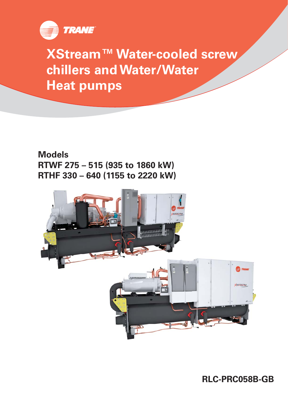

**XStream™ Water-cooled screw chillers and Water/Water Heat pumps**

**Models RTWF 275 – 515 (935 to 1860 kW) RTHF 330 – 640 (1155 to 2220 kW)**



**RLC-PRC058B-GB**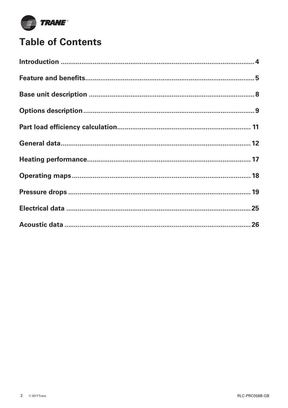

# **Table of Contents**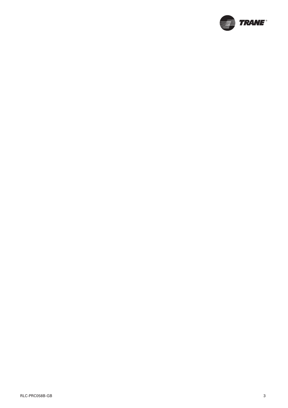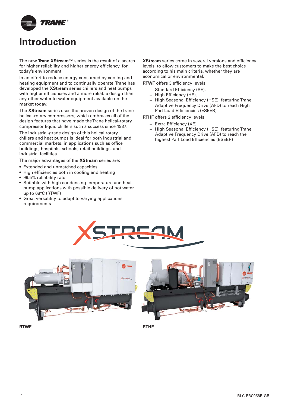

## **Introduction**

The new **Trane XStream™** series is the result of a search for higher reliability and higher energy efficiency, for today's environment.

In an effort to reduce energy consumed by cooling and heating equipment and to continually operate, Trane has developed the **XStream** series chillers and heat pumps with higher efficiencies and a more reliable design than any other water-to-water equipment available on the market today.

The **XStream** series uses the proven design of the Trane helical-rotary compressors, which embraces all of the design features that have made the Trane helical-rotary compressor liquid chillers such a success since 1987.

The industrial-grade design of this helical rotary chillers and heat pumps is ideal for both industrial and commercial markets, in applications such as office buildings, hospitals, schools, retail buildings, and industrial facilities.

The major advantages of the **XStream** series are:

- Extended and unmatched capacities
- High efficiencies both in cooling and heating
- 99.5% reliability rate
- Suitable with high condensing temperature and heat pump applications with possible delivery of hot water up to 68°C (RTWF)
- Great versatility to adapt to varying applications requirements

XStream series come in several versions and efficiency levels, to allow customers to make the best choice according to his main criteria, whether they are economical or environmental.

**RTWF** offers 3 efficiency levels

- − Standard Effi ciency (SE),
- High Efficiency (HE),
- − High Seasonal Effi ciency (HSE), featuring Trane Adaptive Frequency Drive (AFD) to reach High Part Load Efficiencies (ESEER)

**RTHF** offers 2 efficiency levels

- − Extra Effi ciency (XE)
- − High Seasonal Effi ciency (HSE), featuring Trane Adaptive Frequency Drive (AFD) to reach the highest Part Load Efficiencies (ESEER)







**RTWF RTHF**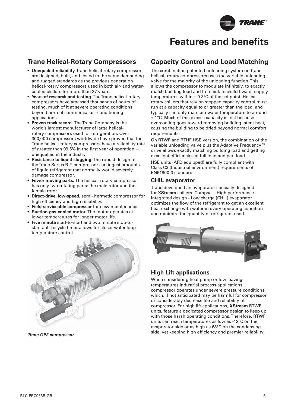

## **Features and benefits**

## **Trane Helical-Rotary Compressors**

- **Unequaled-reliability.** Trane helical-rotary compressor are designed, built, and tested to the same demanding and rugged standards as the previous generation helical-rotary compressors used in both air- and watercooled chillers for more than 27 years.
- **Years of research and testing.** The Trane helical-rotary compressors have amassed thousands of hours of testing, much of it at severe operating conditions beyond normal commercial air- conditioning applications.
- **Proven track record.** The Trane Company is the world's largest manufacturer of large helicalrotary compressors used for refrigeration. Over 300,000 compressors worldwide have proven that the Trane helical- rotary compressors have a reliability rate of greater than 99.5% in the first year of operation  $$ unequalled in the industry.
- **Resistance to liquid slugging.** The robust design of the Trane Series R™ compressor can ingest amounts of liquid refrigerant that normally would severely damage compressor.
- **Fewer moving parts.** The helical- rotary compressor has only two rotating parts: the male rotor and the female rotor.
- **Direct-drive, low-speed**, semi- hermetic compressor for high efficiency and high reliability.
- **Field-serviceable compressor** for easy maintenance.
- **Suction-gas-cooled motor.** The motor operates at lower temperatures for longer motor life.
- **Five minute** start-to-start and two minute stop-tostart anti-recycle timer allows for closer water-loop temperature control.



**Trane GP2 compressor**

### **Capacity Control and Load Matching**

The combination patented unloading system on Trane helical- rotary compressors uses the variable unloading valve for the majority of the unloading function. This allows the compressor to modulate infinitely, to exactly match building load and to maintain chilled-water supply temperatures within  $\pm$  0.3°C of the set point. Helicalrotary chillers that rely on stepped capacity control must run at a capacity equal to or greater than the load, and typically can only maintain water temperature to around ± 1°C. Much of this excess capacity is lost because overcooling goes toward removing building latent heat, causing the building to be dried beyond normal comfort requirements.

On RTWF and RTHF HSE version, the combination of the variable unloading valve plus the Adaptive Frequency<sup>™</sup> drive allows exactly matching building load and getting excellent efficiencies at full load and part load.

HSE units (AFD equipped) are fully compliant with Class C3 (Industrial environment) requirements of EN61800-3 standard.

#### **CHIL evaporator**

Trane developed an evaporator specially designed for **XStream** chillers. Compact - High performance - Integrated design - Low charge (CHIL) evaporator optimizes the flow of the refrigerant to get an excellent heat exchange with water in every operating condition and minimize the quantity of refrigerant used.



#### **High Lift applications**

When considering heat pump or low leaving temperatures industrial process applications, compressor operates under severe pressure conditions, which, if not anticipated may be harmful for compressor or considerably decrease life and reliability of compressor. For high lift applications, **XStream** RTWF units, feature a dedicated compressor design to keep up with those harsh operating conditions. Therefore, RTWF units can reach temperatures as low as -12°C on the evaporator side or as high as 68°C on the condensing side, yet keeping high efficiency and premier reliability.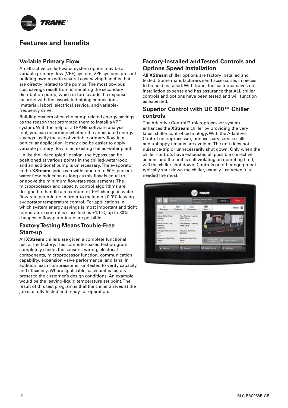

## **Features and benefits**

#### **Variable Primary Flow**

An attractive chilled-water system option may be a variable primary flow (VPF) system. VPF systems present building owners with several cost-saving benefits that are directly related to the pumps. The most obvious cost savings result from eliminating the secondary distribution pump, which in turn avoids the expense incurred with the associated piping connections (material, labor), electrical service, and variablefrequency drive.

Building owners often cite pump related energy savings as the reason that prompted them to install a VPF system. With the help of a TRANE software analysis tool, you can determine whether the anticipated energy savings justify the use of variable primary flow in a particular application. It may also be easier to apply variable primary flow in an existing chilled-water plant.

Unlike the "decoupled" design, the bypass can be positioned at various points in the chilled-water loop and an additional pump is unnecessary. The evaporator in the **XStream** series can withstand up to 50% percent water flow reduction as long as this flow is equal to or above the minimum flow-rate requirements. The microprocessor and capacity control algorithms are designed to handle a maximum of 10% change in water flow rate per minute in order to maintain  $\pm 0.3$ °C leaving evaporator temperature control. For applications in which system energy savings is most important and tight temperature control is classified as  $\pm 1.1$ °C, up to 30% changes in flow per minute are possible.

#### **Factory Testing Means Trouble-Free Start-up**

All **XStream** chillers are given a complete functional test at the factory. This computer-based test program completely checks the sensors, wiring, electrical components, microprocessor function, communication capability, expansion valve performance, and fans. In addition, each compressor is run-tested to verify capacity and efficiency. Where applicable, each unit is factory preset to the customer's design conditions. An example would be the leaving-liquid temperature set point. The result of this test program is that the chiller arrives at the job site fully tested and ready for operation.

#### **Factory-Installed and Tested Controls and Options Speed Installation**

All **XStream** chiller options are factory installed and tested. Some manufacturers send accessories in pieces to be field installed. With Trane, the customer saves on installation expense and has assurance that ALL chiller controls and options have been tested and will function as expected.

#### **Superior Control with UC 800™ Chiller controls**

The Adaptive Control™ microprocessor system enhances the **XStream** chiller by providing the very latest chiller control technology. With the Adaptive Control microprocessor, unnecessary service calls and unhappy tenants are avoided. The unit does not nuisance-trip or unnecessarily shut down. Only when the chiller controls have exhausted all possible corrective actions and the unit is still violating an operating limit, will the chiller shut down. Controls on other equipment typically shut down the chiller, usually just when it is needed the most.

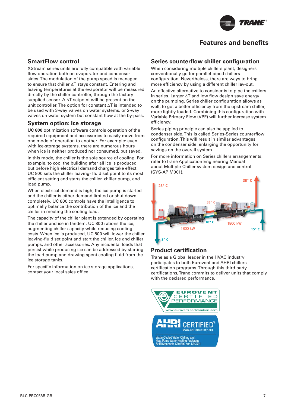

## **Features and benefits**

#### **SmartFlow control**

XStream series units are fully compatible with variable flow operation both on evaporator and condenser sides. The modulation of the pump speed is managed to ensure that chiller  $\Delta T$  stays constant. Entering and leaving temperatures at the evaporator will be measured directly by the chiller controller, through the factorysupplied sensor. A  $\Delta T$  setpoint will be present on the unit controller. The option for constant  $\Delta T$  is intended to be used with 3-way valves on water systems, or 2-way valves on water system but constant flow at the by-pass.

#### **System option: Ice storage**

**UC 800** optimization software controls operation of the required equipment and accessories to easily move from one mode of operation to another. For example: even with ice-storage systems, there are numerous hours when ice is neither produced nor consumed, but saved.

In this mode, the chiller is the sole source of cooling. For example, to cool the building after all ice is produced but before high electrical demand charges take effect, UC 800 sets the chiller leaving- fluid set point to its most efficient setting and starts the chiller, chiller pump, and load pump.

When electrical demand is high, the ice pump is started and the chiller is either demand limited or shut down completely. UC 800 controls have the intelligence to optimally balance the contribution of the ice and the chiller in meeting the cooling load.

The capacity of the chiller plant is extended by operating the chiller and ice in tandem. UC 800 rations the ice, augmenting chiller capacity while reducing cooling costs. When ice is produced, UC 800 will lower the chiller leaving-fluid set point and start the chiller, ice and chiller pumps, and other accessories. Any incidental loads that persist while producing ice can be addressed by starting the load pump and drawing spent cooling fluid from the ice storage tanks.

For specific information on ice storage applications, contact your local sales office

#### **Series counterflow chiller configuration**

When considering multiple chillers plant, designers conventionally go for parallel-piped chillers configuration. Nevertheless, there are ways to bring more efficiency by using a different chiller lay-out.

An effective alternative to consider is to pipe the chillers in series. Larger  $\Delta T$  and low flow design save energy on the pumping. Series chiller configuration allows as well, to get a better efficiency from the upstream chiller, more lightly loaded. Combining this configuration with Variable Primary Flow (VPF) will further increase system efficiency.

Series piping principle can also be applied to condenser side. This is called Series-Series counterflow configuration. This will result in similar advantages on the condenser side, enlarging the opportunity for savings on the overall system.

For more information on Series chillers arrangements, refer to Trane Application Engineering Manual about Multiple-Chiller system design and control (SYS-AP M001).



#### **Product certification**

Trane as a Global leader in the HVAC industry participates to both Eurovent and AHRI chillers certification programs. Through this third party certifications, Trane commits to deliver units that comply with the declared performance.

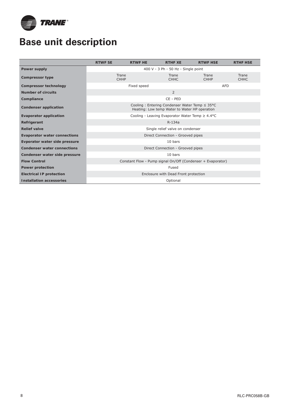

# **Base unit description**

|                                     | <b>RTWF SE</b>       | <b>RTWF HE</b> | <b>RTHF XE</b>                                                                                 | <b>RTWF HSE</b>      | <b>RTHF HSE</b>      |
|-------------------------------------|----------------------|----------------|------------------------------------------------------------------------------------------------|----------------------|----------------------|
| Power supply                        |                      |                | 400 V - 3 Ph - 50 Hz - Single point                                                            |                      |                      |
| <b>Compressor type</b>              | Trane<br><b>CHHP</b> |                | Trane<br><b>CHHC</b>                                                                           | Trane<br><b>CHHP</b> | Trane<br><b>CHHC</b> |
| <b>Compressor technology</b>        |                      | Fixed speed    |                                                                                                | <b>AFD</b>           |                      |
| <b>Number of circuits</b>           |                      |                | 2                                                                                              |                      |                      |
| Compliance                          |                      |                | $CE - PED$                                                                                     |                      |                      |
| <b>Condenser application</b>        |                      |                | Cooling: Entering Condenser Water Temp ≤ 35°C<br>Heating: Low temp Water to Water HP operation |                      |                      |
| <b>Evaporator application</b>       |                      |                | Cooling - Leaving Evaporator Water Temp $\geq 4.4$ °C                                          |                      |                      |
| Refrigerant                         |                      |                | $R-134a$                                                                                       |                      |                      |
| <b>Relief valve</b>                 |                      |                | Single relief valve on condenser                                                               |                      |                      |
| <b>Evaporator water connections</b> |                      |                | Direct Connection - Grooved pipes                                                              |                      |                      |
| Evporator water side pressure       |                      |                | 10 bars                                                                                        |                      |                      |
| <b>Condenser water connections</b>  |                      |                | Direct Connection - Grooved pipes                                                              |                      |                      |
| Condenser water side pressure       |                      |                | 10 bars                                                                                        |                      |                      |
| <b>Flow Control</b>                 |                      |                | Constant Flow - Pump signal On/Off (Condenser + Evaporator)                                    |                      |                      |
| <b>Power protection</b>             |                      |                | Fused                                                                                          |                      |                      |
| <b>Electrical IP protection</b>     |                      |                | Enclosure with Dead Front protection                                                           |                      |                      |
| <b>Installation accessories</b>     |                      |                | Optional                                                                                       |                      |                      |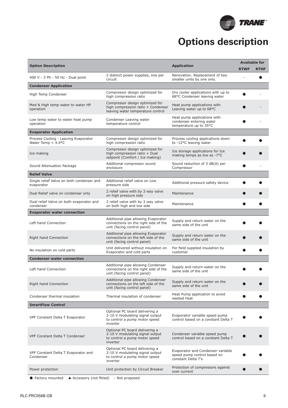

# **Options description**

| <b>Option Description</b>                                     | <b>Application</b>                                                                                             |                                                                                        | <b>Available for</b> |             |
|---------------------------------------------------------------|----------------------------------------------------------------------------------------------------------------|----------------------------------------------------------------------------------------|----------------------|-------------|
|                                                               |                                                                                                                |                                                                                        | <b>RTWF</b>          | <b>RTHF</b> |
| 400 V - 3 Ph - 50 Hz - Dual point                             | 2 distinct power supplies, one per<br>circuit                                                                  | Renovation. Replacement of two<br>smaller units by one only.                           |                      |             |
| <b>Condenser Application</b>                                  |                                                                                                                |                                                                                        |                      |             |
| High Temp Condenser                                           | Compressor design optimized for<br>high compression ratio                                                      | Dry cooler applications with up to<br>68°C Condenser leaving water                     |                      |             |
| Med & High temp water to water HP<br>operation                | Compressor design optimized for<br>high compression ratio + Condenser<br>leaving water temperature control     | Heat pump applications with<br>Leaving water up to 68°C                                |                      |             |
| Low temp water to water heat pump<br>operation                | Condenser Leaving water<br>temperature control                                                                 | Heat pump applications with<br>condenser entering water<br>temperature up to 35°C      |                      |             |
| <b>Evaporator Application</b>                                 |                                                                                                                |                                                                                        |                      |             |
| Process Cooling - Leaving Evaporator<br>Water Temp $< 4.4$ °C | Compressor design optimized for<br>high compression ratio                                                      | Process cooling applications down<br>to -12°C leaving water                            |                      |             |
| Ice making                                                    | Compressor design optimized for<br>high compression ratio + Dual<br>setpoint (Comfort / Ice making)            | Ice storage applications for Ice<br>making temps as low as -7°C                        |                      |             |
| Sound Attenuation Package                                     | Additional compressor sound<br>enclosure                                                                       | Sound reduction of 3 dB(A) per<br>Compressor                                           |                      |             |
| <b>Relief Valve</b>                                           |                                                                                                                |                                                                                        |                      |             |
| Single relief Valve on both condenser and<br>evaporator       | Additional relief valve on Low<br>pressure side                                                                | Additional pressure safety device                                                      |                      |             |
| Dual Relief valve on condenser only                           | 2 relief valve with by 3 way valve<br>on high pressure side                                                    | Maintenance                                                                            |                      |             |
| Dual relief Valve on both evaporator and<br>condenser         | 2 relief valve with by 3 way valve<br>on both high and low side                                                | Maintenance                                                                            |                      |             |
| <b>Evaporator water connection</b>                            |                                                                                                                |                                                                                        |                      |             |
| Left hand Connection                                          | Additional pipe allowing Evaporator<br>connections on the right side of the<br>unit (facing control panel)     | Supply and return water on the<br>same side of the unit                                |                      |             |
| Right hand Connection                                         | Additional pipe allowing Evaporator<br>connections on the left side of the<br>unit (facing control panel)      | Supply and return water on the<br>same side of the unit                                |                      |             |
| No insulation on cold parts                                   | Unit delivered without insulation on<br>Evaporator and cold parts                                              | For field supplied insulation by<br>customer                                           |                      |             |
| <b>Condenser water connection</b>                             |                                                                                                                |                                                                                        |                      |             |
| Left hand Connection                                          | Additional pipe allowing Condenser<br>connections on the right side of the<br>unit (facing control panel)      | Supply and return water on the<br>same side of the unit                                |                      |             |
| Right hand Connection                                         | Additional pipe allowing Condenser<br>connections on the left side of the<br>unit (facing control panel)       | Supply and return water on the<br>same side of the unit                                |                      |             |
| Condenser thermal insulation                                  | Thermal insulation of condenser                                                                                | Heat Pump application to avoid<br>wasted heat                                          | O                    |             |
| <b>SmartFlow Control</b>                                      |                                                                                                                |                                                                                        |                      |             |
| VPF Constant Delta T Evaporator                               | Optional PC board delivering a<br>2-10 V modulating signal output<br>to control a pump motor speed<br>inverter | Evaporator variable speed pump<br>control based on a constant Delta T                  |                      |             |
| VPF Constant Delta T Condenser                                | Optional PC board delivering a<br>2-10 V modulating signal output<br>to control a pump motor speed<br>inverter | Condenser variable speed pump<br>control based on a constant Delta T                   |                      |             |
| VPF Constant Delta T Evaporator and<br>Condenser              | Optional PC board delivering a<br>2-10 V modulating signal output<br>to control a pump motor speed<br>inverter | Evaporator and Condenser variable<br>speed pump control based on<br>constant Delta T's |                      |             |
| Power protection                                              | Unit protection by Circuit Breaker                                                                             | Protection of compressors against<br>over current                                      |                      |             |

● Factory mounted ▲ Accessory (not fitted) - Not proposed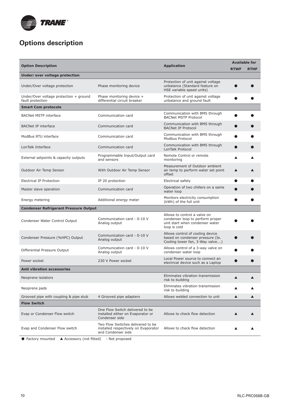

## **Options description**

| <b>Option Description</b>                                    |                                                                                                 | <b>Application</b>                                                                                                  | <b>Available for</b><br><b>RTWF</b> | <b>RTHF</b> |
|--------------------------------------------------------------|-------------------------------------------------------------------------------------------------|---------------------------------------------------------------------------------------------------------------------|-------------------------------------|-------------|
| Under/over voltage protection                                |                                                                                                 |                                                                                                                     |                                     |             |
| Under/Over voltage protection                                | Phase monitoring device                                                                         | Protection of unit against voltage<br>unbalance (Standard feature on<br>HSE variable speed units)                   |                                     |             |
| Under/Over voltage protection $+$ ground<br>fault protection | Phase monitoring device +<br>differential circuit breaker                                       | Protection of unit against voltage<br>unbalance and ground fault                                                    | O                                   |             |
| <b>Smart Com protocole</b>                                   |                                                                                                 |                                                                                                                     |                                     |             |
| <b>BACNet MSTP interface</b>                                 | Communication card                                                                              | Communication with BMS through<br><b>BACNet MSTP Protocol</b>                                                       |                                     |             |
| <b>BACNet IP interface</b>                                   | Communication card                                                                              | Communication with BMS through<br><b>BACNet IP Protocol</b>                                                         |                                     |             |
| ModBus RTU interface                                         | Communication card                                                                              | Communication with BMS through<br>Modbus Protocol                                                                   |                                     |             |
| LonTalk Interface                                            | Communication card                                                                              | Communication with BMS through<br>LonTalk Protocol                                                                  |                                     |             |
| External setpoints & capacity outputs                        | Programmable Input/Output card<br>and sensors                                                   | Remote Control or remote<br>monitoring                                                                              | ▲                                   |             |
| Outdoor Air Temp Sensor                                      | With Outdoor Air Temp Sensor                                                                    | Measurement of Outdoor ambient<br>air temp to perform water set point<br>offset                                     | ▲                                   |             |
| <b>Electrical IP Protection</b>                              | IP 20 protection                                                                                | Electrical safety                                                                                                   |                                     |             |
| Master slave operation                                       | Communication card                                                                              | Operation of two chillers on a same<br>water loop                                                                   |                                     |             |
| Energy metering                                              | Additional energy meter                                                                         | Monitors electricity consumption<br>(kWh) of the full unit                                                          | O                                   |             |
| <b>Condenser Refrigerant Pressure Output</b>                 |                                                                                                 |                                                                                                                     |                                     |             |
| Condenser Water Control Output                               | Communication card - 0-10 V<br>Analog output                                                    | Allows to control a valve on<br>condenser loop to perform proper<br>unit start when condenser water<br>loop is cold |                                     |             |
| Condenser Pressure (%HPC) Output                             | Communication card - 0-10 V<br>Analog output                                                    | Allows control of cooling device<br>based on condenser pressure (Ie.<br>Cooling tower fan, 3-Way valve)             |                                     |             |
| Differential Pressure Output                                 | Communication card - 0-10 V<br>Analog output                                                    | Allows control of a 3-way valve on<br>condenser water loop                                                          |                                     |             |
| Power socket                                                 | 230 V Power socket                                                                              | Local Power source to connect an<br>electrical device such as a Laptop                                              |                                     |             |
| Anti vibration accessories                                   |                                                                                                 |                                                                                                                     |                                     |             |
| Neoprene isolators                                           |                                                                                                 | Eliminates vibration transmission<br>risk to building                                                               | ▲                                   |             |
| Neoprene pads                                                |                                                                                                 | Eliminates vibration transmission<br>risk to building                                                               |                                     |             |
| Grooved pipe with coupling & pipe stub                       | 4 Grooved pipe adapters                                                                         | Allows welded connection to unit                                                                                    | ▲                                   | ▲           |
| <b>Flow Switch</b>                                           |                                                                                                 |                                                                                                                     |                                     |             |
| Evap or Condenser Flow switch                                | One Flow Switch delivered to be<br>installed either on Evaporator or<br>Condenser side          | Allows to check flow detection                                                                                      | ▲                                   |             |
| Evap and Condenser Flow switch                               | Two Flow Switches delivered to be<br>installed respectively on Evaporator<br>and Condenser side | Allows to check flow detection                                                                                      | ▲                                   |             |

● Factory mounted ▲ Accessory (not fitted) - Not proposed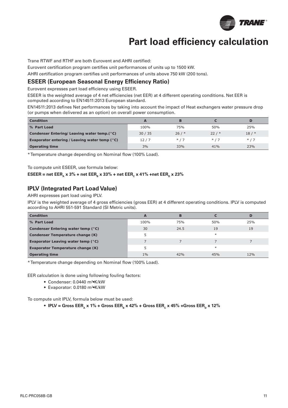

## **Part load efficiency calculation**

Trane RTWF and RTHF are both Eurovent and AHRI certified:

Eurovent certification program certifies unit performances of units up to 1500 kW.

AHRI certification program certifies unit performances of units above 750 kW (200 tons).

#### **ESEER (European Seasonal Energy Efficiency Ratio)**

Eurovent expresses part load efficiency using ESEER.

ESEER is the weighted average of 4 net efficiencies (net EER) at 4 different operating conditions. Net EER is computed according to EN14511:2013 European standard.

EN14511:2013 defines Net performances by taking into account the impact of Heat exchangers water pressure drop (or pumps when delivered as an option) on overall power consumption.

| Condition                                     | A     |         |         |         |
|-----------------------------------------------|-------|---------|---------|---------|
| % Part Load                                   | 100%  | 75%     | 50%     | 25%     |
| Condenser Entering/Leaving water temp.(°C)    | 30/35 | 26/     | 22/     | 18/     |
| Evaporator entering / Leaving water temp (°C) | 12/7  | $*$ / 7 | $*$ / 7 | $*$ / 7 |
| Operating time                                | 3%    | 33%     | 41%     | 23%     |

\* Temperature change depending on Nominal flow (100% Load).

To compute unit ESEER, use formula below:

#### **ESEER = net EER, x 3% + net EER, x 33% + net EER, x 41% +net EER, x 23%**

#### **IPLV (Integrated Part Load Value)**

AHRI expresses part load using IPLV.

IPLV is the weighted average of 4 gross efficiencies (gross EER) at 4 different operating conditions. IPLV is computed according to AHRI 551-591 Standard (SI Metric units).

| Condition                          | А     | B    |        |     |
|------------------------------------|-------|------|--------|-----|
| % Part Load                        | 100%  | 75%  | 50%    | 25% |
| Condenser Entering water temp (°C) | 30    | 24.5 | 19     | 19  |
| Condenser Temperature change (K)   | 5     |      | $\ast$ |     |
| Evaporator Leaving water temp (°C) |       |      |        |     |
| Evaporator Temperature change (K)  |       |      | $\ast$ |     |
| <b>Operating time</b>              | $1\%$ | 42%  | 45%    | 12% |

\* Temperature change depending on Nominal flow (100% Load).

EER calculation is done using following fouling factors:

- Condenser: 0.0440 m²•K/kW
- Evaporator: 0.0180 m²•K/kW

To compute unit IPLV, formula below must be used:

• IPLV = Gross  $EER_0 \times 1\%$  + Gross  $EER_0 \times 42\%$  + Gross  $EER_0 \times 45\%$  + Gross  $EER_0 \times 12\%$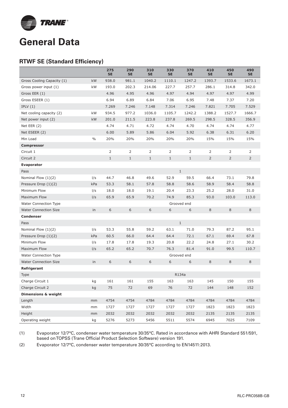

### **RTWF SE (Standard Efficiency)**

|                              |               | 275<br><b>SE</b> | 290<br><b>SE</b> | 310<br><b>SE</b> | 330<br><b>SE</b> | 370<br><b>SE</b> | 410<br><b>SE</b> | 450<br><b>SE</b> | 490<br><b>SE</b> |
|------------------------------|---------------|------------------|------------------|------------------|------------------|------------------|------------------|------------------|------------------|
| Gross Cooling Capacity (1)   | kW            | 938.0            | 981.1            | 1040.2           | 1110.1           | 1247.2           | 1393.7           | 1533.6           | 1673.1           |
| Gross power input (1)        | kW            | 193.0            | 202.3            | 214.06           | 227.7            | 257.7            | 286.1            | 314.8            | 342.0            |
| Gross EER (1)                |               | 4.96             | 4.95             | 4.96             | 4.97             | 4.94             | 4.97             | 4.97             | 4.99             |
| Gross ESEER (1)              |               | 6.94             | 6.89             | 6.84             | 7.06             | 6.95             | 7.48             | 7.37             | 7.20             |
| IPLV(1)                      |               | 7.269            | 7.246            | 7.148            | 7.314            | 7.246            | 7.821            | 7.705            | 7.529            |
| Net cooling capacity (2)     | kW            | 934.5            | 977.2            | 1036.0           | 1105.7           | 1242.2           | 1388.2           | 1527.7           | 1666.7           |
| Net power input (2)          | kW            | 201.0            | 211.5            | 223.8            | 237.8            | 269.5            | 298.5            | 328.5            | 356.9            |
| Net EER $(2)$                |               | 4.74             | 4.71             | 4.72             | 4.74             | 4.70             | 4.74             | 4.74             | 4.77             |
| Net ESEER (2)                |               | 6.00             | 5.89             | 5.86             | 6.04             | 5.92             | 6.38             | 6.31             | 6.20             |
| Min Load                     | $\frac{0}{0}$ | 20%              | 20%              | 20%              | 20%              | 20%              | 15%              | 15%              | 15%              |
| Compressor                   |               |                  |                  |                  |                  |                  |                  |                  |                  |
| Circuit 1                    |               | 2                | 2                | 2                | 2                | 2                | 2                | 2                | 2                |
| Circuit 2                    |               | $\mathbf{1}$     | $\mathbf{1}$     | $\mathbf{1}$     | $\mathbf{1}$     | $\mathbf{1}$     | $\overline{2}$   | $\overline{2}$   | $\overline{2}$   |
| Evaporator                   |               |                  |                  |                  |                  |                  |                  |                  |                  |
| Pass                         |               |                  |                  |                  |                  | $\mathbf{1}$     |                  |                  |                  |
| Nominal Flow $(1)(2)$        | I/S           | 44.7             | 46.8             | 49.6             | 52.9             | 59.5             | 66.4             | 73.1             | 79.8             |
| Pressure Drop (1)(2)         | kPa           | 53.3             | 58.1             | 57.8             | 58.8             | 58.6             | 58.9             | 58.4             | 58.8             |
| Minimum Flow                 | 1/s           | 18.0             | 18.0             | 19.1             | 20.4             | 23.3             | 25.2             | 28.0             | 31.0             |
| <b>Maximum Flow</b>          | I/S           | 65.9             | 65.9             | 70.2             | 74.9             | 85.3             | 93.0             | 103.0            | 113.0            |
| Water Connection Type        |               |                  |                  |                  |                  | Grooved end      |                  |                  |                  |
| <b>Water Connection Size</b> | in            | 6                | 6                | 6                | 6                | 6                | 8                | 8                | 8                |
| Condenser                    |               |                  |                  |                  |                  |                  |                  |                  |                  |
| Pass                         |               |                  |                  |                  |                  | $\mathbf{1}$     |                  |                  |                  |
| Nominal Flow $(1)(2)$        | I/S           | 53.3             | 55.8             | 59.2             | 63.1             | 71.0             | 79.3             | 87.2             | 95.1             |
| Pressure Drop (1)(2)         | kPa           | 60.5             | 66.0             | 64.4             | 64.4             | 72.1             | 67.1             | 69.4             | 67.8             |
| Minimum Flow                 | I/S           | 17.8             | 17.8             | 19.3             | 20.8             | 22.2             | 24.8             | 27.1             | 30.2             |
| Maximum Flow                 | I/S           | 65.2             | 65.2             | 70.7             | 76.3             | 81.4             | 91.0             | 99.5             | 110.7            |
| <b>Water Connection Type</b> |               |                  |                  |                  |                  | Grooved end      |                  |                  |                  |
| <b>Water Connection Size</b> | in            | 6                | 6                | 6                | 6                | 6                | 8                | 8                | 8                |
| Refrigerant                  |               |                  |                  |                  |                  |                  |                  |                  |                  |
| Type                         |               |                  |                  |                  | R134a            |                  |                  |                  |                  |
| Charge Circuit 1             | kg            | 161              | 161              | 155              | 163              | 163              | 145              | 150              | 155              |
| Charge Circuit 2             | kg            | 75               | $72$             | 69               | 76               | 72               | 144              | 148              | 152              |
| Dimensions & weight          |               |                  |                  |                  |                  |                  |                  |                  |                  |
| Length                       | mm            | 4754             | 4754             | 4784             | 4784             | 4784             | 4784             | 4784             | 4784             |
| Width                        | mm            | 1727             | 1727             | 1727             | 1727             | 1727             | 1823             | 1823             | 1823             |
| Height                       | mm            | 2032             | 2032             | 2032             | 2032             | 2032             | 2135             | 2135             | 2135             |
| Operating weight             | kg            | 5276             | 5273             | 5456             | 5511             | 5574             | 6945             | 7025             | 7109             |

(1) Evaporator 12/7°C, condenser water temperature 30/35°C. Rated in accordance with AHRI Standard 551/591, based on TOPSS (Trane Official Product Selection Software) version 191.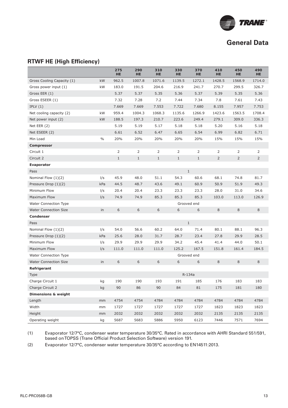

#### **RTWF HE (High Efficiency)**

|                              |               | 275<br><b>HE</b> | 290<br><b>HE</b> | 310<br><b>HE</b> | 330<br><b>HE</b> | 370<br><b>HE</b> | 410<br><b>HE</b> | 450<br><b>HE</b> | 490<br><b>HE</b> |
|------------------------------|---------------|------------------|------------------|------------------|------------------|------------------|------------------|------------------|------------------|
| Gross Cooling Capacity (1)   | kW            | 962.5            | 1007.8           | 1071.6           | 1139.5           | 1272.1           | 1428.5           | 1568.9           | 1714.0           |
| Gross power input (1)        | kW            | 183.0            | 191.5            | 204.6            | 216.9            | 241.7            | 270.7            | 299.5            | 326.7            |
| Gross EER (1)                |               | 5.37             | 5.37             | 5.35             | 5.36             | 5.37             | 5.39             | 5.35             | 5.36             |
| Gross ESEER (1)              |               | 7.32             | 7.28             | 7.2              | 7.44             | 7.34             | 7.8              | 7.61             | 7.43             |
| IPLV(1)                      |               | 7.669            | 7.669            | 7.553            | 7.722            | 7.680            | 8.155            | 7.957            | 7.753            |
| Net cooling capacity (2)     | kW            | 959.4            | 1004.3           | 1068.3           | 1135.6           | 1266.9           | 1423.6           | 1563.5           | 1708.4           |
| Net power input (2)          | kW            | 188.5            | 197.3            | 210.7            | 223.6            | 249.4            | 279.1            | 309.0            | 336.3            |
| Net EER $(2)$                |               | 5.19             | 5.19             | 5.17             | 5.18             | 5.18             | 5.20             | 5.16             | 5.18             |
| Net ESEER (2)                |               | 6.61             | 6.52             | 6.47             | 6.65             | 6.54             | 6.99             | 6.82             | 6.71             |
| Min Load                     | $\frac{0}{0}$ | 20%              | 20%              | 20%              | 20%              | 20%              | 15%              | 15%              | 15%              |
| Compressor                   |               |                  |                  |                  |                  |                  |                  |                  |                  |
| Circuit 1                    |               | $\overline{2}$   | 2                | 2                | 2                | 2                | 2                | 2                | 2                |
| Circuit 2                    |               | $\mathbf{1}$     | $\mathbf{1}$     | $\mathbf{1}$     | $\mathbf{1}$     | $\mathbf{1}$     | $\overline{2}$   | $\overline{2}$   | $\overline{2}$   |
| Evaporator                   |               |                  |                  |                  |                  |                  |                  |                  |                  |
| Pass                         |               |                  |                  |                  |                  | $\mathbf{1}$     |                  |                  |                  |
| Nominal Flow (1)(2)          | I/S           | 45.9             | 48.0             | 51.1             | 54.3             | 60.6             | 68.1             | 74.8             | 81.7             |
| Pressure Drop $(1)(2)$       | kPa           | 44.5             | 48.7             | 43.6             | 49.1             | 60.9             | 50.9             | 51.9             | 49.3             |
| Minimum Flow                 | I/S           | 20.4             | 20.4             | 23.3             | 23.3             | 23.3             | 28.0             | 31.0             | 34.6             |
| Maximum Flow                 | I/S           | 74.9             | 74.9             | 85.3             | 85.3             | 85.3             | 103.0            | 113.0            | 126.9            |
| Water Connection Type        |               |                  |                  |                  |                  | Grooved end      |                  |                  |                  |
| <b>Water Connection Size</b> | in            | 6                | 6                | 6                | 6                | 6                | 8                | 8                | 8                |
| Condenser                    |               |                  |                  |                  |                  |                  |                  |                  |                  |
| Pass                         |               |                  |                  |                  |                  | $\mathbf{1}$     |                  |                  |                  |
| Nominal Flow (1)(2)          | I/S           | 54.0             | 56.6             | 60.2             | 64.0             | 71.4             | 80.1             | 88.1             | 96.3             |
| Pressure Drop (1)(2)         | kPa           | 25.6             | 28.0             | 31.7             | 28.7             | 23.4             | 27.8             | 29.9             | 28.5             |
| Minimum Flow                 | I/S           | 29.9             | 29.9             | 29.9             | 34.2             | 45.4             | 41.4             | 44.0             | 50.1             |
| Maximum Flow                 | I/S           | 111.0            | 111.0            | 111.0            | 125.2            | 167.5            | 151.8            | 161.4            | 184.5            |
| Water Connection Type        |               |                  |                  |                  |                  | Grooved end      |                  |                  |                  |
| <b>Water Connection Size</b> | in            | 6                | 6                | 6                | 6                | 6                | 8                | 8                | 8                |
| Refrigerant                  |               |                  |                  |                  |                  |                  |                  |                  |                  |
| Type                         |               |                  |                  |                  |                  | R-134a           |                  |                  |                  |
| Charge Circuit 1             | kg            | 190              | 190              | 193              | 191              | 185              | 176              | 183              | 183              |
| Charge Circuit 2             | kg            | 90               | 86               | 90               | 84               | 81               | 175              | 181              | 180              |
| Dimensions & weight          |               |                  |                  |                  |                  |                  |                  |                  |                  |
| Length                       | mm            | 4754             | 4754             | 4784             | 4784             | 4784             | 4784             | 4784             | 4784             |
| Width                        | mm            | 1727             | 1727             | 1727             | 1727             | 1727             | 1823             | 1823             | 1823             |
| Height                       | mm            | 2032             | 2032             | 2032             | 2032             | 2032             | 2135             | 2135             | 2135             |
| Operating weight             | kg            | 5687             | 5683             | 5886             | 5950             | 6123             | 7446             | 7571             | 7694             |

(1) Evaporator 12/7°C, condenser water temperature 30/35°C. Rated in accordance with AHRI Standard 551/591, based on TOPSS (Trane Official Product Selection Software) version 191.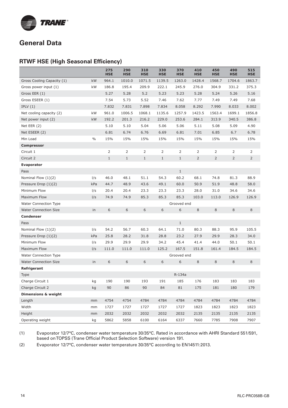

### **RTWF HSE (High Seasonal Efficiency)**

|                              |               | 275<br><b>HSE</b> | 290<br><b>HSE</b> | 310<br><b>HSE</b> | 330<br><b>HSE</b> | 370<br><b>HSE</b> | 410<br><b>HSE</b> | 450<br><b>HSE</b> | 490<br><b>HSE</b> | 515<br><b>HSE</b> |
|------------------------------|---------------|-------------------|-------------------|-------------------|-------------------|-------------------|-------------------|-------------------|-------------------|-------------------|
| Gross Cooling Capacity (1)   | kW            | 964.1             | 1010.0            | 1071.5            | 1139.5            | 1263.0            | 1428.4            | 1568.7            | 1704.6            | 1863.7            |
| Gross power input (1)        | kW            | 186.8             | 195.4             | 209.9             | 222.1             | 245.9             | 276.0             | 304.9             | 331.2             | 375.3             |
| Gross EER (1)                |               | 5.27              | 5.28              | 5.2               | 5.23              | 5.23              | 5.28              | 5.24              | 5.26              | 5.16              |
| Gross ESEER (1)              |               | 7.54              | 5.73              | 5.52              | 7.46              | 7.62              | 7.77              | 7.49              | 7.49              | 7.68              |
| IPLV(1)                      |               | 7.832             | 7.831             | 7.898             | 7.834             | 8.058             | 8.292             | 7.990             | 8.033             | 8.002             |
| Net cooling capacity (2)     | kW            | 961.0             | 1006.5            | 1068.1            | 1135.6            | 1257.9            | 1423.5            | 1563.4            | 1699.1            | 1856.8            |
| Net power input (2)          | kW            | 192.2             | 201.3             | 216.2             | 229.0             | 253.6             | 284.1             | 313.9             | 340.5             | 386.8             |
| Net EER $(2)$                |               | 5.10              | 5.10              | 5.04              | 5.06              | 5.06              | 5.11              | 5.08              | 5.09              | 4.90              |
| Net ESEER (2)                |               | 6.81              | 6.74              | 6.76              | 6.69              | 6.81              | 7.01              | 6.85              | 6.7               | 6.78              |
| Min Load                     | $\frac{0}{0}$ | 15%               | 15%               | 15%               | 15%               | 15%               | 15%               | 15%               | 15%               | 15%               |
| Compressor                   |               |                   |                   |                   |                   |                   |                   |                   |                   |                   |
| Circuit 1                    |               | 2                 | 2                 | 2                 | 2                 | 2                 | 2                 | 2                 | 2                 | 2                 |
| Circuit 2                    |               | $\mathbf{1}$      | $\mathbf{1}$      | $\mathbf{1}$      | $\mathbf{1}$      | $\mathbf{1}$      | $\overline{2}$    | $\overline{2}$    | $\overline{2}$    | $\overline{2}$    |
| Evaporator                   |               |                   |                   |                   |                   |                   |                   |                   |                   |                   |
| Pass                         |               |                   |                   |                   |                   | $\mathbf{1}$      |                   |                   |                   |                   |
| Nominal Flow $(1)(2)$        | l/s           | 46.0              | 48.1              | 51.1              | 54.3              | 60.2              | 68.1              | 74.8              | 81.3              | 88.9              |
| Pressure Drop (1)(2)         | kPa           | 44.7              | 48.9              | 43.6              | 49.1              | 60.0              | 50.9              | 51.9              | 48.8              | 58.0              |
| Minimum Flow                 | l/s           | 20.4              | 20.4              | 23.3              | 23.3              | 23.3              | 28.0              | 31.0              | 34.6              | 34.6              |
| Maximum Flow                 | I/S           | 74.9              | 74.9              | 85.3              | 85.3              | 85.3              | 103.0             | 113.0             | 126.9             | 126.9             |
| <b>Water Connection Type</b> |               |                   |                   |                   |                   | Grooved end       |                   |                   |                   |                   |
| <b>Water Connection Size</b> | in            | 6                 | 6                 | 6                 | 6                 | 6                 | 8                 | 8                 | 8                 | 8                 |
| Condenser                    |               |                   |                   |                   |                   |                   |                   |                   |                   |                   |
| Pass                         |               |                   |                   |                   |                   | $\mathbf{1}$      |                   |                   |                   |                   |
| Nominal Flow $(1)(2)$        | I/S           | 54.2              | 56.7              | 60.3              | 64.1              | 71.0              | 80.3              | 88.3              | 95.9              | 105.5             |
| Pressure Drop (1)(2)         | kPa           | 25.8              | 28.2              | 31.8              | 28.8              | 23.2              | 27.9              | 29.9              | 28.3              | 34.0              |
| Minimum Flow                 | l/s           | 29.9              | 29.9              | 29.9              | 34.2              | 45.4              | 41.4              | 44.0              | 50.1              | 50.1              |
| Maximum Flow                 | I/S           | 111.0             | 111.0             | 111.0             | 125.2             | 167.5             | 151.8             | 161.4             | 184.5             | 184.5             |
| Water Connection Type        |               |                   |                   |                   |                   | Grooved end       |                   |                   |                   |                   |
| <b>Water Connection Size</b> | in            | 6                 | 6                 | 6                 | 6                 | 6                 | 8                 | 8                 | 8                 | 8                 |
| Refrigerant                  |               |                   |                   |                   |                   |                   |                   |                   |                   |                   |
| Type                         |               |                   |                   |                   |                   | R-134a            |                   |                   |                   |                   |
| Charge Circuit 1             | kg            | 190               | 190               | 193               | 191               | 185               | 176               | 183               | 183               | 183               |
| Charge Circuit 2             | kg            | 90                | 86                | 90                | 84                | 81                | 175               | 181               | 180               | 179               |
| Dimensions & weight          |               |                   |                   |                   |                   |                   |                   |                   |                   |                   |
| Length                       | mm            | 4754              | 4754              | 4784              | 4784              | 4784              | 4784              | 4784              | 4784              | 4784              |
| Width                        | mm            | 1727              | 1727              | 1727              | 1727              | 1727              | 1823              | 1823              | 1823              | 1823              |
| Height                       | mm            | 2032              | 2032              | 2032              | 2032              | 2032              | 2135              | 2135              | 2135              | 2135              |
| Operating weight             | kg            | 5862              | 5858              | 6100              | 6164              | 6337              | 7660              | 7785              | 7908              | 7907              |

(1) Evaporator 12/7°C, condenser water temperature 30/35°C. Rated in accordance with AHRI Standard 551/591, based on TOPSS (Trane Official Product Selection Software) version 191.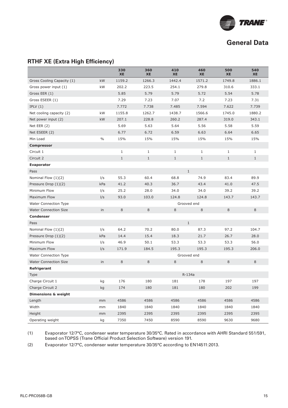

### **RTHF XE (Extra High Efficiency)**

|                              |               | 330<br>XE    | 360<br><b>XE</b> | 410<br><b>XE</b> | 460<br><b>XE</b> | 500<br><b>XE</b> | 540<br><b>XE</b> |
|------------------------------|---------------|--------------|------------------|------------------|------------------|------------------|------------------|
| Gross Cooling Capacity (1)   | kW            | 1159.2       | 1266.3           | 1442.4           | 1571.2           | 1749.8           | 1886.1           |
| Gross power input (1)        | kW            | 202.2        | 223.5            | 254.1            | 279.8            | 310.6            | 333.1            |
| Gross EER (1)                |               | 5.85         | 5.79             | 5.79             | 5.72             | 5.54             | 5.78             |
| Gross ESEER (1)              |               | 7.29         | 7.23             | 7.07             | 7.2              | 7.23             | 7.31             |
| IPLV(1)                      |               | 7.772        | 7.738            | 7.485            | 7.594            | 7.622            | 7.739            |
| Net cooling capacity (2)     | kW            | 1155.8       | 1262.7           | 1438.7           | 1566.6           | 1745.0           | 1880.2           |
| Net power input (2)          | kW            | 207.1        | 228.8            | 260.2            | 287.4            | 319.0            | 343.1            |
| Net EER (2)                  |               | 5.69         | 5.63             | 5.64             | 5.56             | 5.58             | 5.59             |
| Net ESEER (2)                |               | 6.77         | 6.72             | 6.59             | 6.63             | 6.64             | 6.65             |
| Min Load                     | $\frac{0}{0}$ | 15%          | 15%              | 15%              | 15%              | 15%              | 15%              |
| Compressor                   |               |              |                  |                  |                  |                  |                  |
| Circuit 1                    |               | $\mathbf{1}$ | $\mathbf{1}$     | $\mathbf{1}$     | $\mathbf{1}$     | $\mathbf{1}$     | $\mathbf{1}$     |
| Circuit 2                    |               | $\mathbf{1}$ | $\mathbf{1}$     | $\mathbf{1}$     | $\mathbf{1}$     | $\mathbf{1}$     | $\mathbf{1}$     |
| Evaporator                   |               |              |                  |                  |                  |                  |                  |
| Pass                         |               |              |                  |                  | $\mathbf{1}$     |                  |                  |
| Nominal Flow (1)(2)          | l/s           | 55.3         | 60.4             | 68.8             | 74.9             | 83.4             | 89.9             |
| Pressure Drop $(1)(2)$       | kPa           | 41.2         | 40.3             | 36.7             | 43.4             | 41.0             | 47.5             |
| Minimum Flow                 | I/S           | 25.2         | 28.0             | 34.0             | 34.0             | 39.2             | 39.2             |
| Maximum Flow                 | I/S           | 93.0         | 103.0            | 124.8            | 124.8            | 143.7            | 143.7            |
| Water Connection Type        |               |              |                  |                  | Grooved end      |                  |                  |
| <b>Water Connection Size</b> | in            | 8            | 8                | 8                | 8                | 8                | 8                |
| Condenser                    |               |              |                  |                  |                  |                  |                  |
| Pass                         |               |              |                  |                  | $\mathbf{1}$     |                  |                  |
| Nominal Flow $(1)(2)$        | I/S           | 64.2         | 70.2             | 80.0             | 87.3             | 97.2             | 104.7            |
| Pressure Drop $(1)(2)$       | kPa           | 14.4         | 15.4             | 18.3             | 21.7             | 26.7             | 28.0             |
| Minimum Flow                 | I/S           | 46.9         | 50.1             | 53.3             | 53.3             | 53.3             | 56.0             |
| Maximum Flow                 | I/S           | 171.9        | 184.5            | 195.3            | 195.3            | 195.3            | 206.0            |
| Water Connection Type        |               |              |                  |                  | Grooved end      |                  |                  |
| <b>Water Connection Size</b> | in            | 8            | 8                | 8                | 8                | 8                | 8                |
| Refrigerant                  |               |              |                  |                  |                  |                  |                  |
| Type                         |               |              |                  |                  | R-134a           |                  |                  |
| Charge Circuit 1             | kg            | 176          | 180              | 181              | 178              | 197              | 197              |
| Charge Circuit 2             | kg            | 174          | 180              | 181              | 180              | 202              | 199              |
| Dimensions & weight          |               |              |                  |                  |                  |                  |                  |
| Length                       | mm            | 4586         | 4586             | 4586             | 4586             | 4586             | 4586             |
| Width                        | mm            | 1840         | 1840             | 1840             | 1840             | 1840             | 1840             |
| Height                       | mm            | 2395         | 2395             | 2395             | 2395             | 2395             | 2395             |
| Operating weight             | kg            | 7350         | 7450             | 8590             | 8590             | 9630             | 9680             |

(1) Evaporator 12/7°C, condenser water temperature 30/35°C. Rated in accordance with AHRI Standard 551/591, based on TOPSS (Trane Official Product Selection Software) version 191.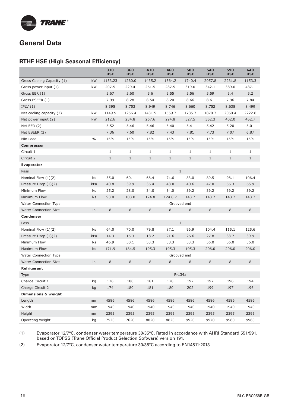

### **RTHF HSE (High Seasonal Efficiency)**

|                              |               | 330<br><b>HSE</b> | 360<br><b>HSE</b> | 410<br><b>HSE</b> | 460<br><b>HSE</b> | 500<br><b>HSE</b> | 540<br><b>HSE</b> | 590<br><b>HSE</b> | 640<br><b>HSE</b> |
|------------------------------|---------------|-------------------|-------------------|-------------------|-------------------|-------------------|-------------------|-------------------|-------------------|
| Gross Cooling Capacity (1)   | kW            | 1153.23           | 1260.0            | 1435.2            | 1564.2            | 1740.4            | 2057.8            | 2231.8            | 1153.3            |
| Gross power input (1)        | kW            | 207.5             | 229.4             | 261.5             | 287.5             | 319.0             | 342.1             | 389.0             | 437.1             |
| Gross EER (1)                |               | 5.67              | 5.60              | 5.6               | 5.55              | 5.56              | 5.59              | 5.4               | 5.2               |
| Gross ESEER (1)              |               | 7.99              | 8.28              | 8.54              | 8.20              | 8.66              | 8.61              | 7.96              | 7.84              |
| IPLV(1)                      |               | 8.395             | 8.753             | 8.949             | 8.746             | 8.660             | 8.752             | 8.638             | 8.499             |
| Net cooling capacity (2)     | kW            | 1149.9            | 1256.4            | 1431.5            | 1559.7            | 1735.7            | 1870.7            | 2050.4            | 2222.8            |
| Net power input (2)          | kW            | 212.6             | 234.8             | 267.6             | 294.8             | 327.5             | 352.3             | 402.0             | 452.7             |
| Net EER $(2)$                |               | 5.52              | 5.46              | 5.46              | 5.40              | 5.41              | 5.42              | 5.20              | 5.01              |
| Net ESEER (2)                |               | 7.36              | 7.60              | 7.82              | 7.43              | 7.81              | 7.73              | 7.07              | 6.87              |
| Min Load                     | $\frac{0}{0}$ | 15%               | 15%               | 15%               | 15%               | 15%               | 15%               | 15%               | 15%               |
| Compressor                   |               |                   |                   |                   |                   |                   |                   |                   |                   |
| Circuit 1                    |               | $\mathbf{1}$      | $\mathbf{1}$      | $\mathbf{1}$      | $\mathbf{1}$      | $\mathbf{1}$      | $\mathbf{1}$      | $\mathbf{1}$      | $\mathbf{1}$      |
| Circuit 2                    |               | $\mathbf{1}$      | $\mathbf{1}$      | $\mathbf{1}$      | $\mathbf{1}$      | $\mathbf{1}$      | $\mathbf{1}$      | $\mathbf{1}$      | $\mathbf{1}$      |
| Evaporator                   |               |                   |                   |                   |                   |                   |                   |                   |                   |
| Pass                         |               |                   |                   |                   | $\mathbf{1}$      |                   |                   |                   |                   |
| Nominal Flow $(1)(2)$        | 1/s           | 55.0              | 60.1              | 68.4              | 74.6              | 83.0              | 89.5              | 98.1              | 106.4             |
| Pressure Drop (1)(2)         | kPa           | 40.8              | 39.9              | 36.4              | 43.0              | 40.6              | 47.0              | 56.3              | 65.9              |
| Minimum Flow                 | l/s           | 25.2              | 28.0              | 34.0              | 34.0              | 39.2              | 39.2              | 39.2              | 39.2              |
| <b>Maximum Flow</b>          | I/S           | 93.0              | 103.0             | 124.8             | 124.8.7           | 143.7             | 143.7             | 143.7             | 143.7             |
| Water Connection Type        |               |                   |                   |                   | Grooved end       |                   |                   |                   |                   |
| <b>Water Connection Size</b> | in            | 8                 | $\,8\,$           | 8                 | 8                 | 8                 | 8                 | 8                 | 8                 |
| Condenser                    |               |                   |                   |                   |                   |                   |                   |                   |                   |
| Pass                         |               |                   |                   |                   | $\mathbf{1}$      |                   |                   |                   |                   |
| Nominal Flow $(1)(2)$        | 1/s           | 64.0              | 70.0              | 79.8              | 87.1              | 96.9              | 104.4             | 115.1             | 125.6             |
| Pressure Drop (1)(2)         | kPa           | 14.3              | 15.3              | 18.2              | 21.6              | 26.6              | 27.8              | 33.7              | 39.9              |
| Minimum Flow                 | l/s           | 46.9              | 50.1              | 53.3              | 53.3              | 53.3              | 56.0              | 56.0              | 56.0              |
| Maximum Flow                 | I/S           | 171.9             | 184.5             | 195.3             | 195.3             | 195.3             | 206.0             | 206.0             | 206.0             |
| <b>Water Connection Type</b> |               |                   |                   |                   | Grooved end       |                   |                   |                   |                   |
| <b>Water Connection Size</b> | in            | 8                 | 8                 | 8                 | 8                 | 8                 | 8                 | 8                 | 8                 |
| Refrigerant                  |               |                   |                   |                   |                   |                   |                   |                   |                   |
| Type                         |               |                   |                   |                   | R-134a            |                   |                   |                   |                   |
| Charge Circuit 1             | kg            | 176               | 180               | 181               | 178               | 197               | 197               | 196               | 194               |
| Charge Circuit 2             | kg            | 174               | 180               | 181               | 180               | 202               | 199               | 197               | 196               |
| Dimensions & weight          |               |                   |                   |                   |                   |                   |                   |                   |                   |
| Length                       | mm            | 4586              | 4586              | 4586              | 4586              | 4586              | 4586              | 4586              | 4586              |
| Width                        | mm            | 1940              | 1940              | 1940              | 1940              | 1940              | 1940              | 1940              | 1940              |
| Height                       | mm            | 2395              | 2395              | 2395              | 2395              | 2395              | 2395              | 2395              | 2395              |
| Operating weight             | kg            | 7520              | 7620              | 8820              | 8820              | 9920              | 9970              | 9960              | 9960              |

(1) Evaporator 12/7°C, condenser water temperature 30/35°C. Rated in accordance with AHRI Standard 551/591, based on TOPSS (Trane Official Product Selection Software) version 191.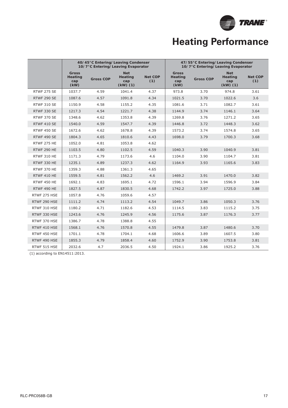

# **Heating Performance**

|                    |                                        | 40/45°C Entering/Leaving Condenser<br>10/7°C Entering/Leaving Evaporator |                                                   |                       | 47/55°C Entering/Leaving Condenser<br>10/7°C Entering/Leaving Evaporator |                  |                                                   |                       |  |
|--------------------|----------------------------------------|--------------------------------------------------------------------------|---------------------------------------------------|-----------------------|--------------------------------------------------------------------------|------------------|---------------------------------------------------|-----------------------|--|
|                    | <b>Gross</b><br>Heating<br>cap<br>(kW) | <b>Gross COP</b>                                                         | <b>Net</b><br><b>Heating</b><br>cap<br>$(KW)$ (1) | <b>Net COP</b><br>(1) | Gross<br>Heating<br>cap<br>(kW)                                          | <b>Gross COP</b> | <b>Net</b><br><b>Heating</b><br>cap<br>$(KW)$ (1) | <b>Net COP</b><br>(1) |  |
| RTWF 275 SE        | 1037.7                                 | 4.59                                                                     | 1041.4                                            | 4.37                  | 973.8                                                                    | 3.70             | 974.8                                             | 3.61                  |  |
| <b>RTWF 290 SE</b> | 1087.6                                 | 4.57                                                                     | 1091.8                                            | 4.34                  | 1021.5                                                                   | 3.70             | 1022.6                                            | 3.6                   |  |
| <b>RTWF 310 SE</b> | 1150.9                                 | 4.58                                                                     | 1155.2                                            | 4.35                  | 1081.6                                                                   | 3.71             | 1082.7                                            | 3.61                  |  |
| <b>RTWF 330 SE</b> | 1217.3                                 | 4.54                                                                     | 1221.7                                            | 4.38                  | 1144.9                                                                   | 3.74             | 1146.1                                            | 3.64                  |  |
| RTWF 370 SE        | 1348.6                                 | 4.62                                                                     | 1353.8                                            | 4.39                  | 1269.8                                                                   | 3.76             | 1271.2                                            | 3.65                  |  |
| <b>RTWF 410 SE</b> | 1540.0                                 | 4.59                                                                     | 1547.7                                            | 4.39                  | 1446.8                                                                   | 3.72             | 1448.3                                            | 3.62                  |  |
| <b>RTWF 450 SE</b> | 1672.6                                 | 4.62                                                                     | 1678.8                                            | 4.39                  | 1573.2                                                                   | 3.74             | 1574.8                                            | 3.65                  |  |
| RTWF 490 SE        | 1804.3                                 | 4.65                                                                     | 1810.6                                            | 4.43                  | 1698.0                                                                   | 3.79             | 1700.3                                            | 3.68                  |  |
| <b>RTWF 275 HE</b> | 1052.0                                 | 4.81                                                                     | 1053.8                                            | 4.62                  |                                                                          |                  |                                                   |                       |  |
| <b>RTWF 290 HE</b> | 1103.5                                 | 4.80                                                                     | 1102.5                                            | 4.59                  | 1040.3                                                                   | 3.90             | 1040.9                                            | 3.81                  |  |
| RTWF 310 HE        | 1171.3                                 | 4.79                                                                     | 1173.6                                            | 4.6                   | 1104.0                                                                   | 3.90             | 1104.7                                            | 3.81                  |  |
| RTWF 330 HE        | 1235.1                                 | 4.89                                                                     | 1237.3                                            | 4.62                  | 1164.9                                                                   | 3.93             | 1165.6                                            | 3.83                  |  |
| RTWF 370 HE        | 1359.3                                 | 4.88                                                                     | 1361.3                                            | 4.65                  |                                                                          |                  |                                                   |                       |  |
| RTWF 410 HE        | 1559.5                                 | 4.81                                                                     | 1562.2                                            | 4.6                   | 1469.2                                                                   | 3.91             | 1470.0                                            | 3.82                  |  |
| <b>RTWF 450 HE</b> | 1692.1                                 | 4.83                                                                     | 1695.1                                            | 4.72                  | 1596.1                                                                   | 3.94             | 1596.9                                            | 3.84                  |  |
| RTWF 490 HE        | 1827.5                                 | 4.87                                                                     | 1830.5                                            | 4.68                  | 1742.2                                                                   | 3.97             | 1725.0                                            | 3.88                  |  |
| RTWF 275 HSE       | 1057.8                                 | 4.76                                                                     | 1059.6                                            | 4.57                  |                                                                          |                  |                                                   |                       |  |
| RTWF 290 HSE       | 1111.2                                 | 4.74                                                                     | 1113.2                                            | 4.54                  | 1049.7                                                                   | 3.86             | 1050.3                                            | 3.76                  |  |
| RTWF 310 HSE       | 1180.2                                 | 4.71                                                                     | 1182.6                                            | 4.53                  | 1114.5                                                                   | 3.83             | 1115.2                                            | 3.75                  |  |
| RTWF 330 HSE       | 1243.6                                 | 4.76                                                                     | 1245.9                                            | 4.56                  | 1175.6                                                                   | 3.87             | 1176.3                                            | 3.77                  |  |
| RTWF 370 HSE       | 1386.7                                 | 4.78                                                                     | 1388.8                                            | 4.55                  |                                                                          |                  |                                                   |                       |  |
| RTWF 410 HSE       | 1568.1                                 | 4.76                                                                     | 1570.8                                            | 4.55                  | 1479.8                                                                   | 3.87             | 1480.6                                            | 3.70                  |  |
| RTWF 450 HSE       | 1701.1                                 | 4.78                                                                     | 1704.1                                            | 4.68                  | 1606.6                                                                   | 3.89             | 1607.5                                            | 3.80                  |  |
| RTWF 490 HSE       | 1855.3                                 | 4.79                                                                     | 1858.4                                            | 4.60                  | 1752.9                                                                   | 3.90             | 1753.8                                            | 3.81                  |  |
| RTWF 515 HSE       | 2032.6                                 | 4.7                                                                      | 2036.5                                            | 4.50                  | 1924.1                                                                   | 3.86             | 1925.2                                            | 3.76                  |  |

(1) according to EN14511:2013.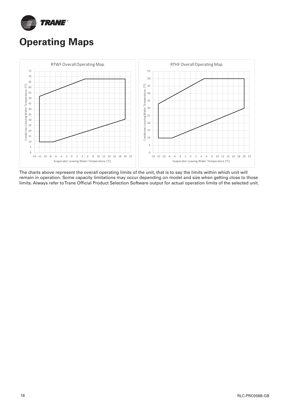



The charts above represent the overall operating limits of the unit, that is to say the limits within which unit will remain in operation. Some capacity limitations may occur depending on model and size when getting close to those limits. Always refer to Trane Official Product Selection Software output for actual operation limits of the selected unit.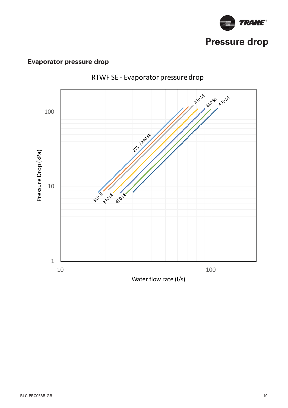

## **Evaporator pressure drop**



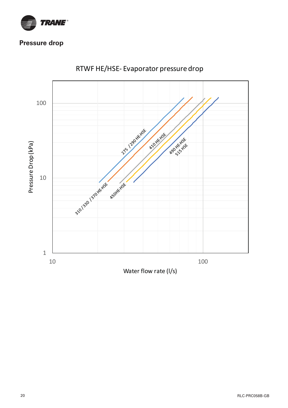



RTWF HE/HSE- Evaporator pressure drop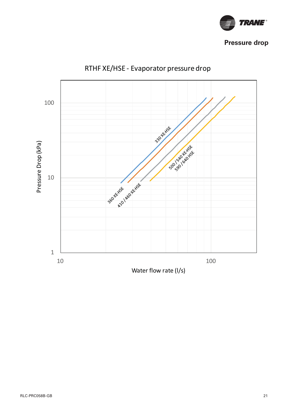



RTHF XE/HSE - Evaporator pressure drop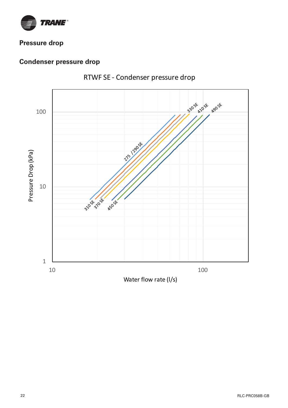

## **Condenser pressure drop**



RTWF SE - Condenser pressure drop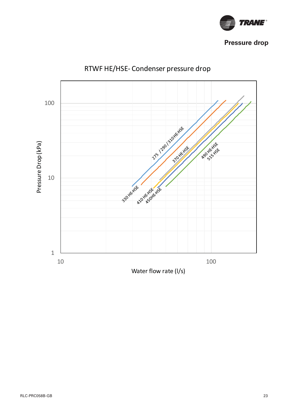



## RTWF HE/HSE- Condenser pressure drop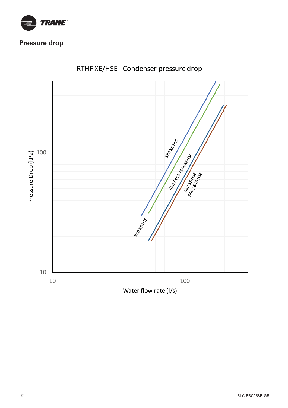



RTHF XE/HSE - Condenser pressure drop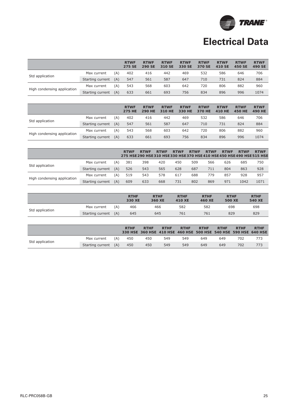

# **Electrical Data**

|                             |                  |     | <b>RTWF</b><br>275 SE | <b>RTWF</b><br>290 SE | <b>RTWF</b><br>310 SE | <b>RTWF</b><br>330 SE | <b>RTWF</b><br>370 SE | <b>RTWF</b><br>410 SE | <b>RTWF</b><br>450 SE | <b>RTWF</b><br>490 SE |
|-----------------------------|------------------|-----|-----------------------|-----------------------|-----------------------|-----------------------|-----------------------|-----------------------|-----------------------|-----------------------|
| Std application             | Max current      | (A) | 402                   | 416                   | 442                   | 469                   | 532                   | 586                   | 646                   | 706                   |
|                             | Starting current | (A) | 547                   | 561                   | 587                   | 647                   | 710                   | 731                   | 824                   | 884                   |
| High condensing application | Max current      | (A) | 543                   | 568                   | 603                   | 642                   | 720                   | 806                   | 882                   | 960                   |
|                             | Starting current | (A) | 633                   | 661                   | 693                   | 756                   | 834                   | 896                   | 996                   | 1074                  |

|                             |                  |     | <b>RTWF</b><br>275 HE | <b>RTWF</b><br><b>290 HE</b> | <b>RTWF</b><br>310 HE | <b>RTWF</b><br>330 HE | <b>RTWF</b><br>370 HE | <b>RTWF</b><br>410 HE | <b>RTWF</b><br>450 HE | <b>RTWF</b><br>490 HE |
|-----------------------------|------------------|-----|-----------------------|------------------------------|-----------------------|-----------------------|-----------------------|-----------------------|-----------------------|-----------------------|
| Std application             | Max current      | (A) | 402                   | 416                          | 442                   | 469                   | 532                   | 586                   | 646                   | 706                   |
|                             | Starting current | (A) | 547                   | 561                          | 587                   | 647                   | 710                   | 731                   | 824                   | 884                   |
| High condensing application | Max current      | (A) | 543                   | 568                          | 603                   | 642                   | 720                   | 806                   | 882                   | 960                   |
|                             | Starting current | (A) | 633                   | 661                          | 693                   | 756                   | 834                   | 896                   | 996                   | 1074                  |

|                             |                  |     | <b>RTWF</b> | <b>RTWF</b><br>275 HSE 290 HSE 310 HSE 330 HSE 370 HSE 410 HSE 450 HSE 490 HSE 515 HSE | <b>RTWF</b> | <b>RTWF</b> | <b>RTWF</b> | <b>RTWF</b> | <b>RTWF</b> | <b>RTWF</b> | <b>RTWF</b> |
|-----------------------------|------------------|-----|-------------|----------------------------------------------------------------------------------------|-------------|-------------|-------------|-------------|-------------|-------------|-------------|
| Std application             | Max current      | (A) | 381         | 398                                                                                    | 420         | 450         | 509         | 566         | 626         | 685         | 750         |
|                             | Starting current | (A) | 526         | 543                                                                                    | 565         | 628         | 687         | 711         | 804         | 863         | 928         |
| High condensing application | Max current      | (A) | 519         | 543                                                                                    | 578         | 617         | 688         | 779         | 857         | 928         | 957         |
|                             | Starting current | (A) | 609         | 633                                                                                    | 668         | 731         | 802         | 869         | 971         | 1042        | 1071        |

|                 |                  |     | <b>RTHF</b><br>330 XE | <b>RTHF</b><br>360 XE | <b>RTHF</b><br>410 XE | <b>RTHF</b><br>460 XE | <b>RTHF</b><br><b>500 XE</b> | <b>RTHF</b><br>540 XE |
|-----------------|------------------|-----|-----------------------|-----------------------|-----------------------|-----------------------|------------------------------|-----------------------|
| Std application | Max current      | (A) | 466                   | 466                   | 582                   | 582                   | 698                          | 698                   |
|                 | Starting current | (A) | 645                   | 645                   | 761                   | 761                   | 829                          | 829                   |

|                 |                  |     | <b>RTHF</b> | <b>RTHF</b> | <b>RTHF</b> | <b>RTHF</b> | <b>RTHF</b> | <b>RTHF</b> | <b>RTHF</b> | <b>RTHF</b><br>330 HSE 360 HSE 410 HSE 460 HSE 500 HSE 540 HSE 590 HSE 640 HSE |
|-----------------|------------------|-----|-------------|-------------|-------------|-------------|-------------|-------------|-------------|--------------------------------------------------------------------------------|
|                 | Max current      | (A) | 450         | 450         | 549         | 549         | 649         | 649         | 702         | 773                                                                            |
| Std application | Starting current | (A) | 450         | 450         | 549         | 549         | 649         | 649         | 702         | 773                                                                            |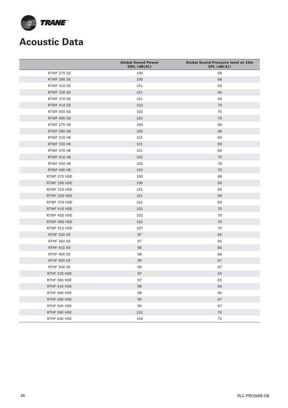

# **Acoustic Data**

|                    | <b>Global Sound Power</b><br>$SWL$ ( $dB(A)$ ) | Global Sound Pressure level at 10m<br>$SPL$ ( $dB(A)$ ) |
|--------------------|------------------------------------------------|---------------------------------------------------------|
| RTWF 275 SE        | 100                                            | 68                                                      |
| <b>RTWF 290 SE</b> | 100                                            | 68                                                      |
| <b>RTWF 310 SE</b> | 101                                            | 69                                                      |
| RTWF 330 SE        | 101                                            | 69                                                      |
| RTWF 370 SE        | 101                                            | 69                                                      |
| <b>RTWF 410 SE</b> | 102                                            | 70                                                      |
| <b>RTWF 450 SE</b> | 102                                            | 70                                                      |
| <b>RTWF 490 SE</b> | 102                                            | 70                                                      |
| RTWF 275 HE        | 100                                            | 68                                                      |
| RTWF 290 HE        | 100                                            | 68                                                      |
| RTWF 310 HE        | 101                                            | 69                                                      |
| RTWF 330 HE        | 101                                            | 69                                                      |
| RTWF 370 HE        | 101                                            | 69                                                      |
| RTWF 410 HE        | 102                                            | 70                                                      |
| RTWF 450 HE        | 102                                            | 70                                                      |
| RTWF 490 HE        | 102                                            | 70                                                      |
| RTWF 275 HSE       | 100                                            | 68                                                      |
| RTWF 290 HSE       | 100                                            | 68                                                      |
| RTWF 310 HSE       | 101                                            | 69                                                      |
| RTWF 330 HSE       | 101                                            | 69                                                      |
| RTWF 370 HSE       | 101                                            | 69                                                      |
| RTWF 410 HSE       | 102                                            | 70                                                      |
| RTWF 450 HSE       | 102                                            | 70                                                      |
| RTWF 490 HSE       | 102                                            | 70                                                      |
| RTWF 515 HSE       | 107                                            | 75                                                      |
| RTHF 330 XE        | 97                                             | 65                                                      |
| RTHF 360 XE        | 97                                             | 65                                                      |
| RTHF 410 XE        | 98                                             | 66                                                      |
| RTHF 460 XE        | 98                                             | 66                                                      |
| <b>RTHF 500 XE</b> | 99                                             | 67                                                      |
| <b>RTHF 540 XE</b> | 99                                             | 67                                                      |
| RTHF 330 HSE       | 97                                             | 65                                                      |
| RTHF 360 HSE       | 97                                             | 65                                                      |
| RTHF 410 HSE       | 98                                             | 66                                                      |
| RTHF 460 HSE       | 98                                             | 66                                                      |
| RTHF 500 HSE       | 99                                             | 67                                                      |
| RTHF 540 HSE       | 99                                             | 67                                                      |
| RTHF 590 HSE       | 102                                            | 70                                                      |
| RTHF 640 HSE       | 104                                            | 72                                                      |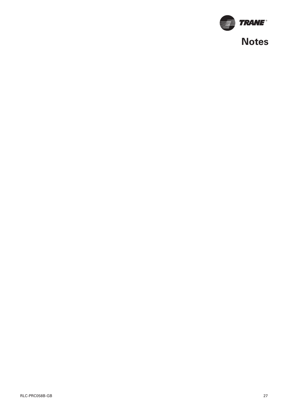